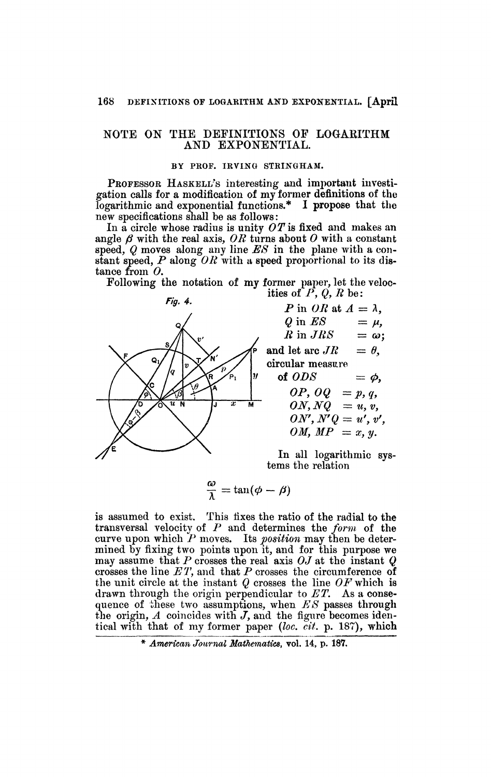## NOTE ON THE DEFINITIONS OP LOGARITHM AND EXPONENTIAL.

## **BY PROF. IRVING STRINGHAM.**

PROFESSOR HASKELI/S interesting and important investigation calls for a modification of my former definitions of the logarithmic and exponential functions.\* I propose that the new specifications shall be as follows :

In a circle whose radius is unity *OTis* fixed and makes an angle  $\beta$  with the real axis, OR turns about O with a constant speed, *Q* moves along any line *ES* in the plane with a constant speed, *P* along *OR* with a speed proportional to its distance from *0.* 

Following the notation of my former paper, let the velocities of  $P$ ,  $Q$ ,  $R$  be:



$$
P \text{ in } OR \text{ at } A = \lambda,
$$
  
\n
$$
Q \text{ in } ES = \mu,
$$
  
\n
$$
R \text{ in } JRS = \omega;
$$
  
\nand let arc  $JR = \theta$ ,  
\ncircular measure  
\nof  $ODS = \phi$ ,  
\n $OP$ ,  $OQ = p$ ,  $q$ ,  
\n $ON$ ,  $NQ = u$ ,  $v$ ,  
\n $ON'$ ,  $N'Q = u'$ ,  $v'$ ,  
\n $OM$ ,  $MP = x$ ,  $y$ .

In all logarithmic systems the relation

$$
\frac{\omega}{\lambda} = \tan(\phi - \beta)
$$

is assumed to exist. This fixes the ratio of the radial to the transversal velocity of *P* and determines the *form* of the curve upon which *P* moves. Its *position* may then be determined by fixing two points upon it, and for this purpose we may assume that  $P$  crosses the real axis  $OJ$  at the instant  $Q$ crosses the line *ET,* and that *P* crosses the circumference of the unit circle at the instant *Q* crosses the line *OF* which is drawn through the origin perpendicular to *ET.* As a consequence of these two assumptions, when *ES* passes through the origin, *A* coincides with *J,* and the figure becomes identical with that of my former paper *(îoc. cit.* p. 187), which

<sup>\*</sup> *American Journal Mathematics,* vol. 14, p. 187.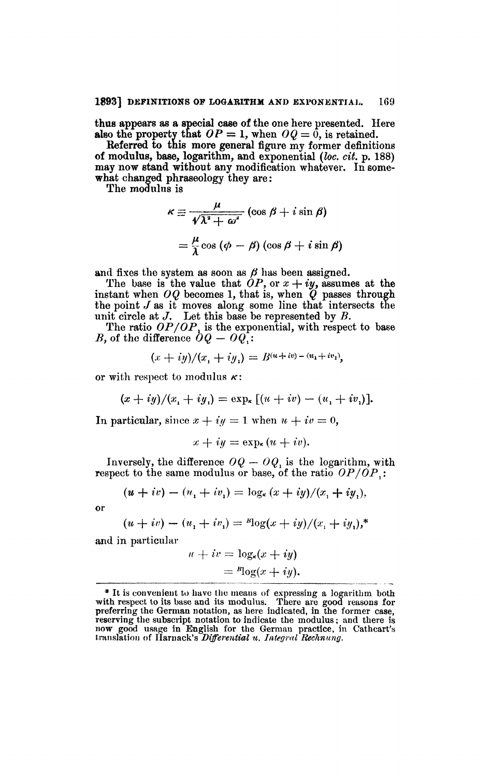**thus appears** as **a special case of** the one here presented. Here **also the property that**  $OP = 1$ , when  $OQ = 0$ , is retained.

**Referred to this more general** figure my former definitions **of modulus, base, logarithm, and** exponential *(loc. cit.* **p.** 188) **may now stand without** any modification whatever. In somewhat changed phraseology they are:

The modulus is

$$
\kappa \equiv \frac{\mu}{\sqrt{\lambda^2 + \omega^2}} (\cos \beta + i \sin \beta)
$$
  
=  $\frac{\mu}{\lambda} \cos (\phi - \beta) (\cos \beta + i \sin \beta)$ 

and fixes the system as soon as  $\beta$  has been assigned.

The base is the value that  $OP$ , or  $x + iy$ , assumes at the instant when *OQ* becomes 1, that is, when *Q* passes through the point *J* as it moves along some line that intersects the unit circle at *J.* Let this base be represented by *B.* 

The ratio  $OP/OP_1$  is the exponential, with respect to base *B*, of the difference  $\partial Q - Q Q$ .

$$
(x+iy)/(x_1+iy_1)=B^{(u+iv)-(u_1+iv_1)},
$$

or with respect to modulus *K:* 

$$
(x+iy)/(x_1+iy_1)=\exp_{\kappa}[(u+iv)-(u_1+iv_1)].
$$

In particular, since  $x + iy = 1$  when  $u + iv = 0$ ,

$$
x + iy = \exp_{\kappa} (u + iv).
$$

Inversely, the difference  $OQ - OQ$ , is the logarithm, with respect to the same modulus or base, of the ratio *OP/OPx :* 

$$
(u + iv) - (u_1 + iv_1) = \log_{\kappa} (x + iy)/(x_1 + iy_1),
$$

or

$$
(u + iv) - (u1 + iv1) = {}^{B}\log(x + iy)/(x1 + iy1),*
$$

and in particular

$$
u + iv = \log_{\kappa}(x + iy)
$$
  
=  ${}^B \log(x + iy)$ .

<sup>\*</sup> It is convenient to have the means of expressing a logarithm both with respect to its base and its modulus. There are good reasons for preferring the German notation, as here indicated, in the former case, reserving the subscript notation to indicate the modulus ; and there is now good usage in English for the German practice, in Cathcart's translation of Ilamack's *Differential u. Integral Rechnung.*